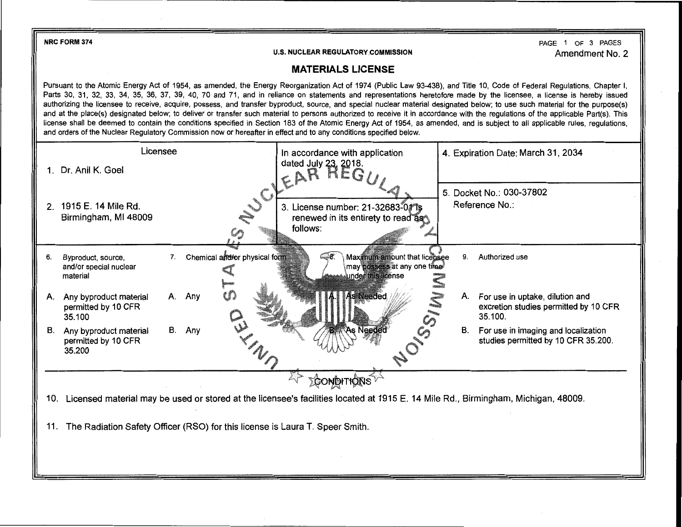**NRC FORM 374** 

## **U.S. NUCLEAR REGULATORY.COMMISSION**

PAGE 1 OF 3 PAGES Amendment No. 2

## **MATERIALS LICENSE**

Pursuant to the Atomic Energy Act of 1954, as amended, the Energy Reorganization Act of 1974 (Public Law 93-438), and Title 10, Code of Federal Regulations, Chapter I, Parts 30, 31, 32, 33, 34, 35, 36, 37, 39, 40, 70 and 71, and in reliance on statements and representations heretofore made by the licensee, a license is hereby issued authorizing the licensee to receive, acquire, possess, and transfer byproduct, source, and special nuclear material designated below; to use such material for the purpose(s) and at the place(s) designated below; to deliver or transfer such material to persons authorized to receive it in accordance with the regulations of the applicable Part(s). This license shall be deemed to contain the conditions specified in Section 183 of the Atomic Energy Act of 1954, as amended, and is subject to all applicable rules, regulations, and orders of the Nuclear Regulatory Commission now or hereafter in effect and to any conditions specified below.

|                |                                                          | Licensee<br>In accordance with application<br>dated July $23, 2018$ .                                                             | 4. Expiration Date: March 31, 2034                                                     |  |
|----------------|----------------------------------------------------------|-----------------------------------------------------------------------------------------------------------------------------------|----------------------------------------------------------------------------------------|--|
|                | 1. Dr. Anil K. Goel                                      | EAR REG.                                                                                                                          |                                                                                        |  |
|                |                                                          |                                                                                                                                   | 5. Docket No.: 030-37802                                                               |  |
| 2 <sub>1</sub> | 1915 E. 14 Mile Rd.<br>Birmingham, MI 48009              | NU CI<br>3. License number: 21-32683-01 is<br>renewed in its entirety to read as                                                  | Reference No.:                                                                         |  |
|                |                                                          | follows:                                                                                                                          |                                                                                        |  |
| 6.             | Byproduct, source,<br>and/or special nuclear<br>material | Chemical and/or physical form<br>⊂ 8.<br>Maximum amount that licensee<br>7.<br>may possess at any one time<br>under this license  | 9.<br>Authorized use                                                                   |  |
| А.             | Any byproduct material<br>permitted by 10 CFR<br>35.100  | s Needed<br>A. Any                                                                                                                | A. For use in uptake, dilution and<br>excretion studies permitted by 10 CFR<br>35.100. |  |
| В.             | Any byproduct material<br>permitted by 10 CFR<br>35.200  | B. Any                                                                                                                            | В.<br>For use in imaging and localization<br>studies permitted by 10 CFR 35.200.       |  |
|                |                                                          | <b>TCONDITIONS</b>                                                                                                                |                                                                                        |  |
| 10.            |                                                          | Licensed material may be used or stored at the licensee's facilities located at 1915 E. 14 Mile Rd., Birmingham, Michigan, 48009. |                                                                                        |  |

11. The Radiation Safety Officer (RSO) for this license is Laura T. Speer Smith.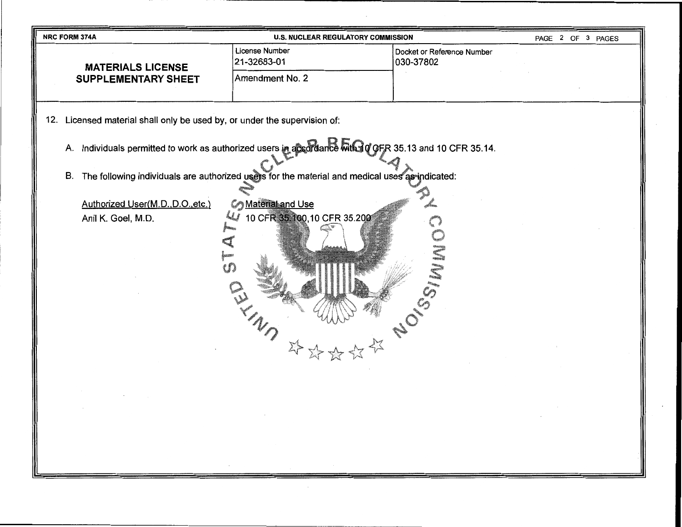| NRC FORM 374A<br><b>U.S. NUCLEAR REGULATORY COMMISSION</b>                                                                                                                                                      |                               |                                         | PAGE 2 OF 3 PAGES |  |  |                                                                                                                                          |  |
|-----------------------------------------------------------------------------------------------------------------------------------------------------------------------------------------------------------------|-------------------------------|-----------------------------------------|-------------------|--|--|------------------------------------------------------------------------------------------------------------------------------------------|--|
| <b>MATERIALS LICENSE</b>                                                                                                                                                                                        | License Number<br>21-32683-01 | Docket or Reference Number<br>030-37802 |                   |  |  |                                                                                                                                          |  |
| <b>SUPPLEMENTARY SHEET</b>                                                                                                                                                                                      | Amendment No. 2               |                                         |                   |  |  |                                                                                                                                          |  |
| 12. Licensed material shall only be used by, or under the supervision of:                                                                                                                                       |                               |                                         |                   |  |  |                                                                                                                                          |  |
| A. Individuals permitted to work as authorized users in accordance with a g GFR 35.13 and 10 CFR 35.14.<br>The following individuals are authorized users for the material and medical uses as indicated:<br>В. |                               |                                         |                   |  |  |                                                                                                                                          |  |
|                                                                                                                                                                                                                 |                               |                                         |                   |  |  | <b>Conductional and Use</b><br>Authorized User(M.D., D.O., etc.)<br>10 CFR 35.100,10 CFR 35.200<br>Anil K. Goel, M.D.<br><b>SURFACES</b> |  |
|                                                                                                                                                                                                                 |                               |                                         |                   |  |  |                                                                                                                                          |  |